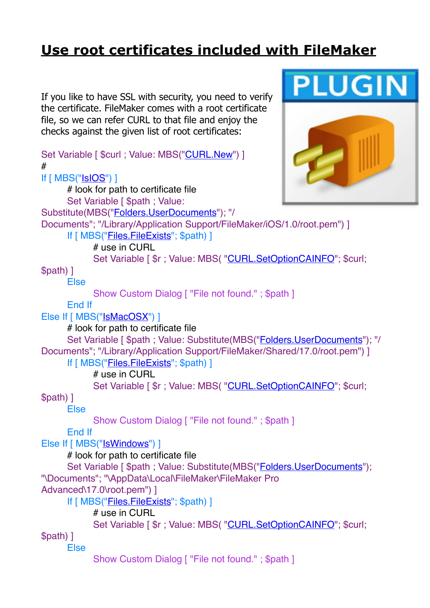## **[Use root certificates included with FileMaker](https://www.mbs-plugins.com/archive/2018-11-05/Use_root_certificates_included/monkeybreadsoftware_blog_filemaker)**

If you like to have SSL with security, you need to verify the certificate. FileMaker comes with a root certificate file, so we can refer CURL to that file and enjoy the checks against the given list of root certificates:

Set Variable [ \$curl : Value: MBS(["CURL.New](http://www.mbsplugins.eu/CURLNew.shtml)") ] # If [ MBS(["IsIOS](http://www.mbsplugins.eu/IsIOS.shtml)") ]

# look for path to certificate file Set Variable [ \$path ; Value: Substitute(MBS(["Folders.UserDocuments](http://www.mbsplugins.eu/FoldersUserDocuments.shtml)"); "/ Documents"; "/Library/Application Support/FileMaker/iOS/1.0/root.pem") ] If [ MBS(["Files.FileExists](http://www.mbsplugins.eu/FilesFileExists.shtml)"; \$path) ]

# use in CURL

Set Variable [  $r$  ; Value: MBS( ["CURL.SetOptionCAINFO](http://www.mbsplugins.eu/CURLSetOptionCAINFO.shtml)"; \$curl;

\$path) ]

Else

Show Custom Dialog [ "File not found." ; \$path ]

End If

Else If [ MBS(["IsMacOSX](http://www.mbsplugins.eu/IsMacOSX.shtml)") ]

# look for path to certificate file

Set Variable [ \$path ; Value: Substitute(MBS("[Folders.UserDocuments](http://www.mbsplugins.eu/FoldersUserDocuments.shtml)"); "/ Documents"; "/Library/Application Support/FileMaker/Shared/17.0/root.pem") ]

If [ MBS(["Files.FileExists](http://www.mbsplugins.eu/FilesFileExists.shtml)"; \$path) ]

# use in CURL

Set Variable [  $\text{\$r}$  ; Value: MBS( ["CURL.SetOptionCAINFO](http://www.mbsplugins.eu/CURLSetOptionCAINFO.shtml)"; \$curl;

\$path) ]

Else

Show Custom Dialog [ "File not found." ; \$path ]

End If

Else If [ MBS("**IsWindows**") ]

# look for path to certificate file

Set Variable [ \$path ; Value: Substitute(MBS("[Folders.UserDocuments](http://www.mbsplugins.eu/FoldersUserDocuments.shtml)"); "\Documents"; "\AppData\Local\FileMaker\FileMaker Pro

Advanced\17.0\root.pem") ]

If [ MBS(["Files.FileExists](http://www.mbsplugins.eu/FilesFileExists.shtml)"; \$path) ]

# use in CURL

Set Variable [  $\frac{1}{2}$  ; Value: MBS( ["CURL.SetOptionCAINFO](http://www.mbsplugins.eu/CURLSetOptionCAINFO.shtml)"; \$curl;

\$path) ] Else

Show Custom Dialog [ "File not found." ; \$path ]